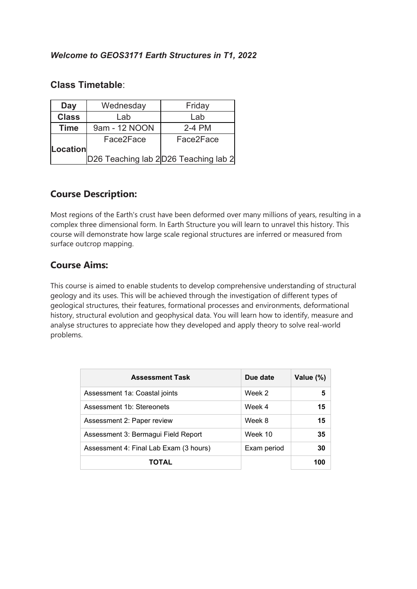## **Class Timetable**:

| Wednesday<br>Day |               | Friday                               |  |
|------------------|---------------|--------------------------------------|--|
| <b>Class</b>     | Lab           | Lab                                  |  |
| <b>Time</b>      | 9am - 12 NOON | 2-4 PM                               |  |
|                  | Face2Face     | Face2Face                            |  |
| Location         |               |                                      |  |
|                  |               | D26 Teaching lab 2D26 Teaching lab 2 |  |

## **Course Description:**

Most regions of the Earth's crust have been deformed over many millions of years, resulting in a complex three dimensional form. In Earth Structure you will learn to unravel this history. This course will demonstrate how large scale regional structures are inferred or measured from surface outcrop mapping.

## **Course Aims:**

This course is aimed to enable students to develop comprehensive understanding of structural geology and its uses. This will be achieved through the investigation of different types of geological structures, their features, formational processes and environments, deformational history, structural evolution and geophysical data. You will learn how to identify, measure and analyse structures to appreciate how they developed and apply theory to solve real-world problems.

| <b>Assessment Task</b>                 | Due date    | Value (%) |
|----------------------------------------|-------------|-----------|
| Assessment 1a: Coastal joints          | Week 2      | 5         |
| Assessment 1b: Stereonets              | Week 4      | 15        |
| Assessment 2: Paper review             | Week 8      | 15        |
| Assessment 3: Bermagui Field Report    | Week 10     | 35        |
| Assessment 4: Final Lab Exam (3 hours) | Exam period | 30        |
| TOTAL                                  |             | 100       |